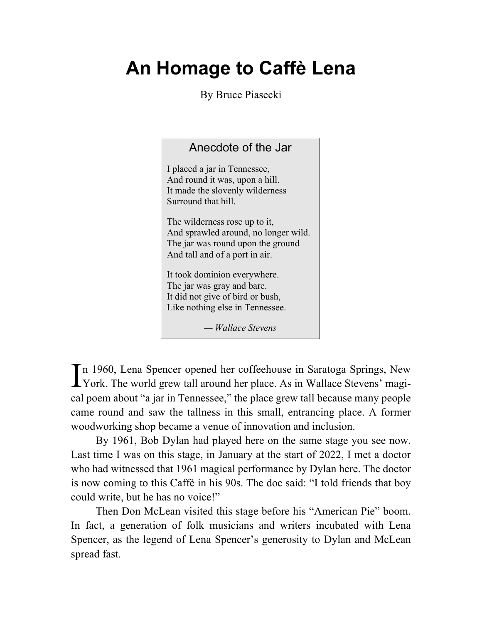## **An Homage to Caffè Lena**

By Bruce Piasecki

| Anecdote of the Jar                                                                                                                          |
|----------------------------------------------------------------------------------------------------------------------------------------------|
| I placed a jar in Tennessee,<br>And round it was, upon a hill.<br>It made the slovenly wilderness<br>Surround that hill.                     |
| The wilderness rose up to it,<br>And sprawled around, no longer wild.<br>The jar was round upon the ground<br>And tall and of a port in air. |
| It took dominion everywhere.<br>The jar was gray and bare.<br>It did not give of bird or bush,<br>Like nothing else in Tennessee.            |
| — Wallace Stevens                                                                                                                            |

In 1960, Lena Spencer opened her coffeehouse in Saratoga Springs, New York. The world grew tall around her place. As in Wallace Stevens' magi-York. The world grew tall around her place. As in Wallace Stevens' magical poem about "a jar in Tennessee," the place grew tall because many people came round and saw the tallness in this small, entrancing place. A former woodworking shop became a venue of innovation and inclusion.

By 1961, Bob Dylan had played here on the same stage you see now. Last time I was on this stage, in January at the start of 2022, I met a doctor who had witnessed that 1961 magical performance by Dylan here. The doctor is now coming to this Caffè in his 90s. The doc said: "I told friends that boy could write, but he has no voice!"

Then Don McLean visited this stage before his "American Pie" boom. In fact, a generation of folk musicians and writers incubated with Lena Spencer, as the legend of Lena Spencer's generosity to Dylan and McLean spread fast.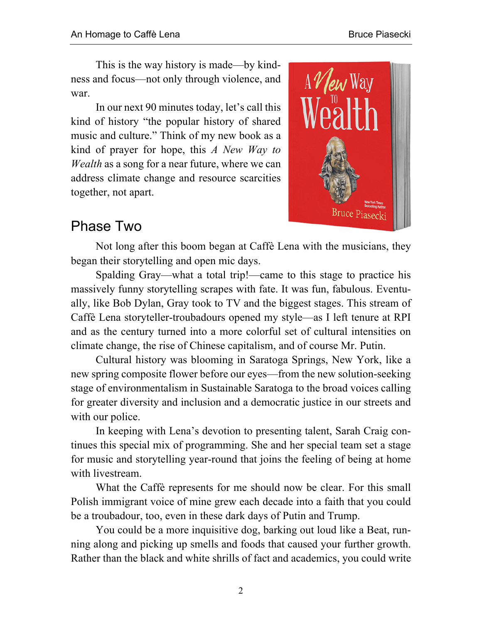This is the way history is made—by kindness and focus—not only through violence, and war.

In our next 90 minutes today, let's call this kind of history "the popular history of shared music and culture." Think of my new book as a kind of prayer for hope, this *A New Way to Wealth* as a song for a near future, where we can address climate change and resource scarcities together, not apart.



## Phase Two

Not long after this boom began at Caffè Lena with the musicians, they began their storytelling and open mic days.

Spalding Gray—what a total trip!—came to this stage to practice his massively funny storytelling scrapes with fate. It was fun, fabulous. Eventually, like Bob Dylan, Gray took to TV and the biggest stages. This stream of Caffè Lena storyteller-troubadours opened my style—as I left tenure at RPI and as the century turned into a more colorful set of cultural intensities on climate change, the rise of Chinese capitalism, and of course Mr. Putin.

Cultural history was blooming in Saratoga Springs, New York, like a new spring composite flower before our eyes—from the new solution-seeking stage of environmentalism in Sustainable Saratoga to the broad voices calling for greater diversity and inclusion and a democratic justice in our streets and with our police.

In keeping with Lena's devotion to presenting talent, Sarah Craig continues this special mix of programming. She and her special team set a stage for music and storytelling year-round that joins the feeling of being at home with livestream.

What the Caffè represents for me should now be clear. For this small Polish immigrant voice of mine grew each decade into a faith that you could be a troubadour, too, even in these dark days of Putin and Trump.

You could be a more inquisitive dog, barking out loud like a Beat, running along and picking up smells and foods that caused your further growth. Rather than the black and white shrills of fact and academics, you could write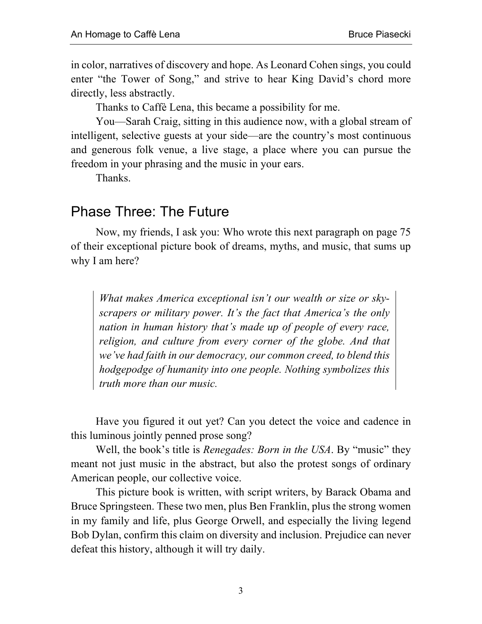in color, narratives of discovery and hope. As Leonard Cohen sings, you could enter "the Tower of Song," and strive to hear King David's chord more directly, less abstractly.

Thanks to Caffè Lena, this became a possibility for me.

You—Sarah Craig, sitting in this audience now, with a global stream of intelligent, selective guests at your side—are the country's most continuous and generous folk venue, a live stage, a place where you can pursue the freedom in your phrasing and the music in your ears.

Thanks.

## Phase Three: The Future

Now, my friends, I ask you: Who wrote this next paragraph on page 75 of their exceptional picture book of dreams, myths, and music, that sums up why I am here?

*What makes America exceptional isn't our wealth or size or skyscrapers or military power. It's the fact that America's the only nation in human history that's made up of people of every race, religion, and culture from every corner of the globe. And that we've had faith in our democracy, our common creed, to blend this hodgepodge of humanity into one people. Nothing symbolizes this truth more than our music.*

Have you figured it out yet? Can you detect the voice and cadence in this luminous jointly penned prose song?

Well, the book's title is *Renegades: Born in the USA*. By "music" they meant not just music in the abstract, but also the protest songs of ordinary American people, our collective voice.

This picture book is written, with script writers, by Barack Obama and Bruce Springsteen. These two men, plus Ben Franklin, plus the strong women in my family and life, plus George Orwell, and especially the living legend Bob Dylan, confirm this claim on diversity and inclusion. Prejudice can never defeat this history, although it will try daily.